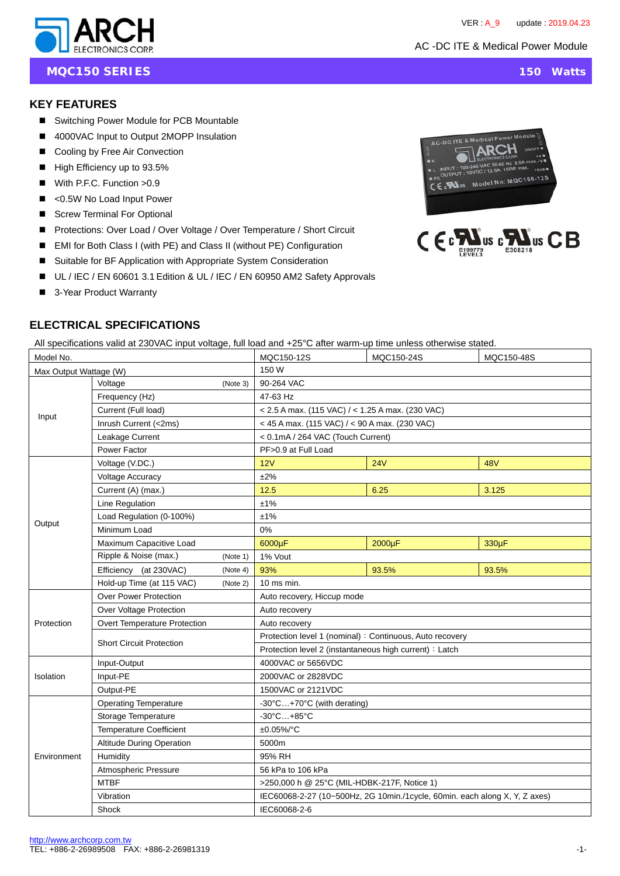

**MQC150 SERIES** 150 Watts

### **KEY FEATURES**

- Switching Power Module for PCB Mountable
- 4000VAC Input to Output 2MOPP Insulation
- Cooling by Free Air Convection
- High Efficiency up to 93.5%
- With P.F.C. Function >0.9
- <0.5W No Load Input Power
- Screw Terminal For Optional
- Protections: Over Load / Over Voltage / Over Temperature / Short Circuit
- EMI for Both Class I (with PE) and Class II (without PE) Configuration
- Suitable for BF Application with Appropriate System Consideration
- UL / IEC / EN 60601 3.1 Edition & UL / IEC / EN 60950 AM2 Safety Approvals
- 3-Year Product Warranty

# **ELECTRICAL SPECIFICATIONS**

All specifications valid at 230VAC input voltage, full load and +25°C after warm-up time unless otherwise stated.

| Model No.              |                                  |          | MQC150-12S                                                                 | MQC150-24S | MQC150-48S |  |  |
|------------------------|----------------------------------|----------|----------------------------------------------------------------------------|------------|------------|--|--|
| Max Output Wattage (W) |                                  |          | 150 W                                                                      |            |            |  |  |
| Input                  | Voltage                          | (Note 3) | 90-264 VAC                                                                 |            |            |  |  |
|                        | Frequency (Hz)                   |          | 47-63 Hz                                                                   |            |            |  |  |
|                        | Current (Full load)              |          | < 2.5 A max. (115 VAC) / < 1.25 A max. (230 VAC)                           |            |            |  |  |
|                        | Inrush Current (<2ms)            |          | < 45 A max. (115 VAC) / < 90 A max. (230 VAC)                              |            |            |  |  |
|                        | Leakage Current                  |          | < 0.1mA / 264 VAC (Touch Current)                                          |            |            |  |  |
|                        | Power Factor                     |          | PF>0.9 at Full Load                                                        |            |            |  |  |
|                        | Voltage (V.DC.)                  |          | 12V                                                                        | 24V        | <b>48V</b> |  |  |
|                        | <b>Voltage Accuracy</b>          |          | ±2%                                                                        |            |            |  |  |
|                        | Current (A) (max.)               |          | 12.5                                                                       | 6.25       | 3.125      |  |  |
|                        | Line Regulation                  |          | ±1%                                                                        |            |            |  |  |
|                        | Load Regulation (0-100%)         |          | ±1%                                                                        |            |            |  |  |
| Output                 | Minimum Load                     |          | 0%                                                                         |            |            |  |  |
|                        | Maximum Capacitive Load          |          | 6000µF                                                                     | 2000µF     | 330µF      |  |  |
|                        | Ripple & Noise (max.)            | (Note 1) | 1% Vout                                                                    |            |            |  |  |
|                        | Efficiency (at 230VAC)           | (Note 4) | 93%                                                                        | 93.5%      | 93.5%      |  |  |
|                        | Hold-up Time (at 115 VAC)        | (Note 2) | $10$ ms min.                                                               |            |            |  |  |
|                        | <b>Over Power Protection</b>     |          | Auto recovery, Hiccup mode                                                 |            |            |  |  |
|                        | Over Voltage Protection          |          | Auto recovery                                                              |            |            |  |  |
| Protection             | Overt Temperature Protection     |          | Auto recovery                                                              |            |            |  |  |
|                        | <b>Short Circuit Protection</b>  |          | Protection level 1 (nominal) : Continuous, Auto recovery                   |            |            |  |  |
|                        |                                  |          | Protection level 2 (instantaneous high current) : Latch                    |            |            |  |  |
|                        | Input-Output                     |          | 4000VAC or 5656VDC                                                         |            |            |  |  |
| Isolation              | Input-PE                         |          | 2000VAC or 2828VDC                                                         |            |            |  |  |
|                        | Output-PE                        |          | 1500VAC or 2121VDC                                                         |            |            |  |  |
|                        | <b>Operating Temperature</b>     |          | -30°C+70°C (with derating)                                                 |            |            |  |  |
|                        | Storage Temperature              |          | $-30^{\circ}$ C $+85^{\circ}$ C                                            |            |            |  |  |
|                        | <b>Temperature Coefficient</b>   |          | ±0.05%/°C                                                                  |            |            |  |  |
|                        | <b>Altitude During Operation</b> |          | 5000m                                                                      |            |            |  |  |
| Environment            | Humidity                         |          | 95% RH                                                                     |            |            |  |  |
|                        | Atmospheric Pressure             |          | 56 kPa to 106 kPa                                                          |            |            |  |  |
|                        | <b>MTBF</b>                      |          | >250,000 h @ 25°C (MIL-HDBK-217F, Notice 1)                                |            |            |  |  |
|                        | Vibration                        |          | IEC60068-2-27 (10~500Hz, 2G 10min./1cycle, 60min. each along X, Y, Z axes) |            |            |  |  |
|                        | Shock                            |          | IEC60068-2-6                                                               |            |            |  |  |



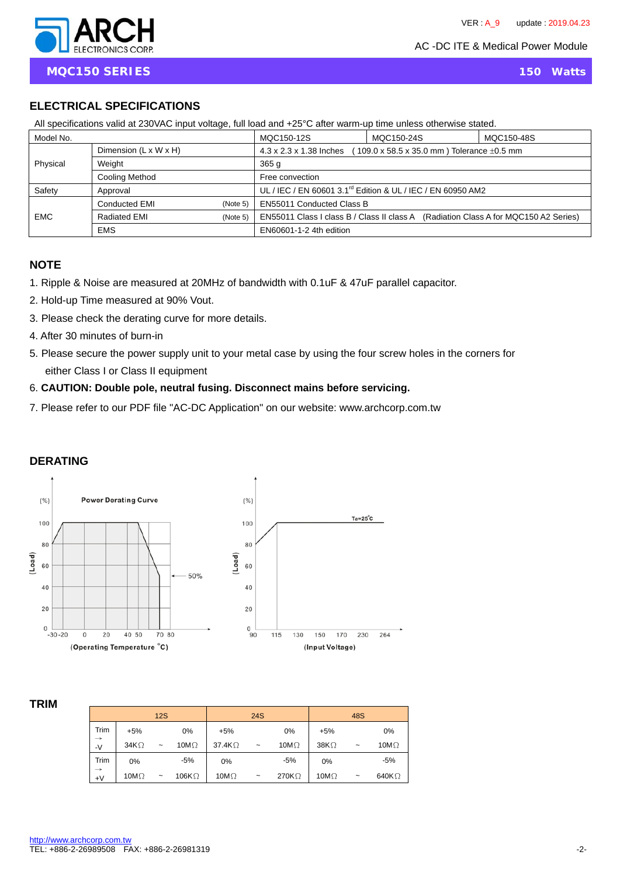

# **ELECTRICAL SPECIFICATIONS**

| All specifications valid at 250 VAC friput voitage, full load and +25 C after warm-up time unless otherwise stated. |                                   |            |                                                                                        |            |  |  |
|---------------------------------------------------------------------------------------------------------------------|-----------------------------------|------------|----------------------------------------------------------------------------------------|------------|--|--|
| Model No.                                                                                                           |                                   | MQC150-12S | MQC150-24S                                                                             | MQC150-48S |  |  |
|                                                                                                                     | Dimension $(L \times W \times H)$ |            | 4.3 x 2.3 x 1.38 Inches<br>109.0 x 58.5 x 35.0 mm ) Tolerance $\pm 0.5$ mm             |            |  |  |
| Physical                                                                                                            | Weight                            |            | 365q                                                                                   |            |  |  |
|                                                                                                                     | Cooling Method                    |            | Free convection                                                                        |            |  |  |
| Safety                                                                                                              | Approval                          |            | UL / IEC / EN 60601 3.1 <sup>rd</sup> Edition & UL / IEC / EN 60950 AM2                |            |  |  |
|                                                                                                                     | Conducted EMI                     | (Note 5)   | <b>EN55011 Conducted Class B</b>                                                       |            |  |  |
| <b>EMC</b>                                                                                                          | Radiated EMI                      | (Note 5)   | EN55011 Class I class B / Class II class A<br>(Radiation Class A for MQC150 A2 Series) |            |  |  |
|                                                                                                                     | <b>EMS</b>                        |            | EN60601-1-2 4th edition                                                                |            |  |  |

All specifications valid at 230VAC input voltage, full load and +25°C after warm-up time unless otherwise stated.

#### **NOTE**

- 1. Ripple & Noise are measured at 20MHz of bandwidth with 0.1uF & 47uF parallel capacitor.
- 2. Hold-up Time measured at 90% Vout.
- 3. Please check the derating curve for more details.
- 4. After 30 minutes of burn-in
- 5. Please secure the power supply unit to your metal case by using the four screw holes in the corners for either Class I or Class II equipment
- 6. **CAUTION: Double pole, neutral fusing. Disconnect mains before servicing.**
- 7. Please refer to our PDF file "AC-DC Application" on our website: www.archcorp.com.tw

# **DERATING**



#### **TRIM**

|                       |              | 12S        |               |                | <b>24S</b> |              |              | 48S                       |               |
|-----------------------|--------------|------------|---------------|----------------|------------|--------------|--------------|---------------------------|---------------|
| Trim                  | $+5%$        |            | 0%            | $+5%$          |            | 0%           | $+5%$        |                           | 0%            |
| $\rightarrow$<br>$-V$ | $34K\Omega$  | $\tilde{}$ | 10M $\Omega$  | 37.4K $\Omega$ | $\tilde{}$ | 10M $\Omega$ | 38K $\Omega$ | $\tilde{}$                | 10M $\Omega$  |
| Trim                  | 0%           |            | $-5%$         | 0%             |            | $-5%$        | 0%           |                           | $-5%$         |
| $\rightarrow$<br>$+V$ | 10M $\Omega$ | $\tilde{}$ | 106K $\Omega$ | 10M $\Omega$   | $\tilde{}$ | 270KΩ        | 10M $\Omega$ | $\widetilde{\phantom{m}}$ | 640K $\Omega$ |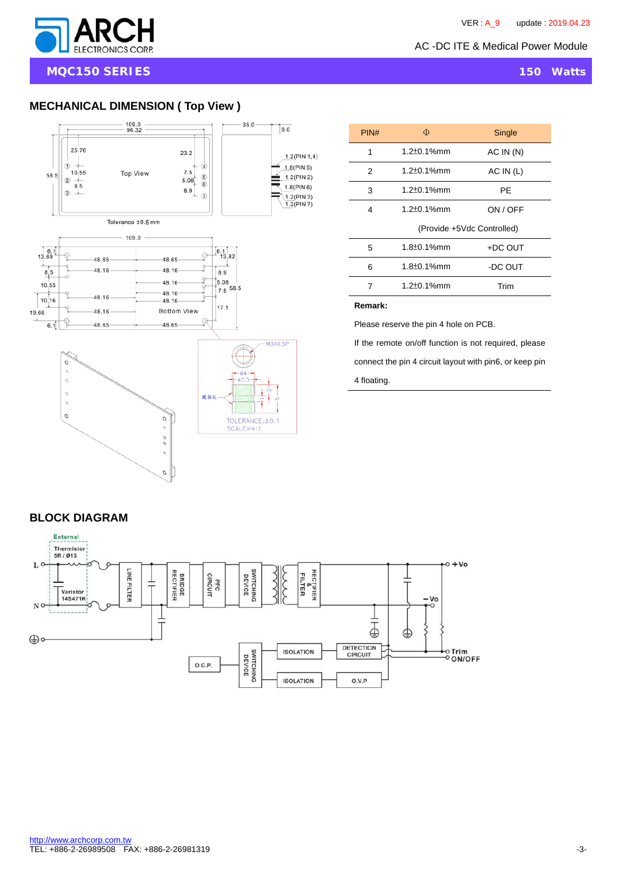

**MQC150 SERIES** 150 Watts

# **MECHANICAL DIMENSION ( Top View )**



| Φ                          | Single    |  |  |  |  |
|----------------------------|-----------|--|--|--|--|
| $1.2 \pm 0.1\%$ mm         | AC IN(N)  |  |  |  |  |
| $1.2 \pm 0.1\%$ mm         | AC IN (L) |  |  |  |  |
| $1.2 \pm 0.1\%$ mm         | РE        |  |  |  |  |
| 1.2±0.1%mm                 | ON / OFF  |  |  |  |  |
| (Provide +5Vdc Controlled) |           |  |  |  |  |
| $1.8 \pm 0.1\%$ mm         | +DC OUT   |  |  |  |  |
| $1.8 \pm 0.1$ %mm          | -DC OUT   |  |  |  |  |
| $1.2 \pm 0.1\%$ mm         | Trim      |  |  |  |  |
|                            |           |  |  |  |  |

**Remark:** 

Please reserve the pin 4 hole on PCB.

If the remote on/off function is not required, please connect the pin 4 circuit layout with pin6, or keep pin

4 floating.

## **BLOCK DIAGRAM**